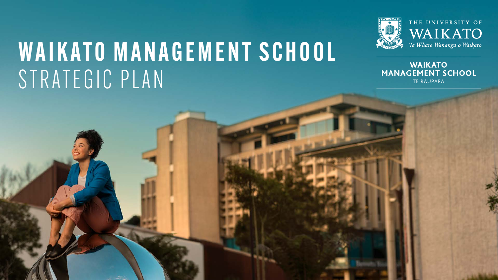# WAIKATO MANAGEMENT SCHOOL STRATEGIC PLAN



THE UNIVERSITY OF WAIKATO Te Whare Wānanga o Waikato

**WAIKATO** 

TE RAUPAPA

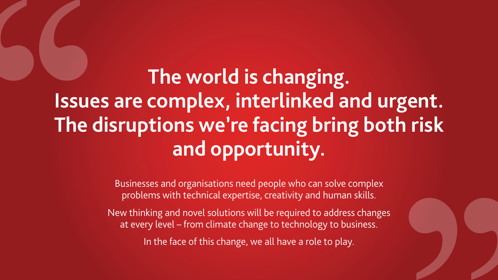

# **The world is changing. Issues are complex, interlinked and urgent. The disruptions we're facing bring both risk and opportunity.**

Businesses and organisations need people who can solve complex problems with technical expertise, creativity and human skills.

New thinking and novel solutions will be required to address changes at every level – from climate change to technology to business.

In the face of this change, we all have a role to play.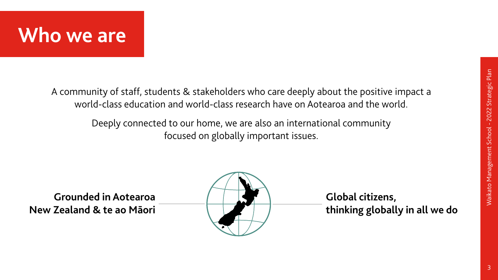



### A community of staff, students & stakeholders who care deeply about the positive impact a world-class education and world-class research have on Aotearoa and the world.

Deeply connected to our home, we are also an international community focused on globally important issues.





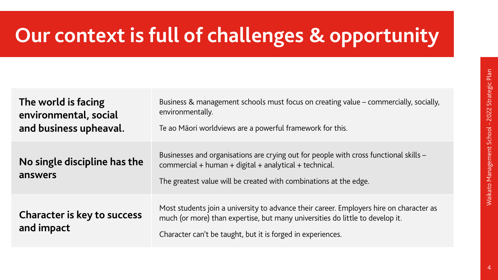| The world is facing<br>environmental, social<br>and business upheaval. | <b>Business &amp; managemer</b><br>environmentally.<br>Te ao Māori worldviews       |
|------------------------------------------------------------------------|-------------------------------------------------------------------------------------|
| No single discipline has the<br>answers                                | <b>Businesses and organisa</b><br>commercial + human +<br>The greatest value will b |
| <b>Character is key to success</b><br>and impact                       | Most students join a un<br>much (or more) than ex<br>Character can't be taug        |

nt schools must focus on creating value – commercially, socially,

are a powerful framework for this.

ations are crying out for people with cross functional skills –  $digital + analytical + technical.$ 

be created with combinations at the edge.

iiversity to advance their career. Employers hire on character as xpertise, but many universities do little to develop it.

the put it is forged in experiences.





# **Our context is full of challenges & opportunity**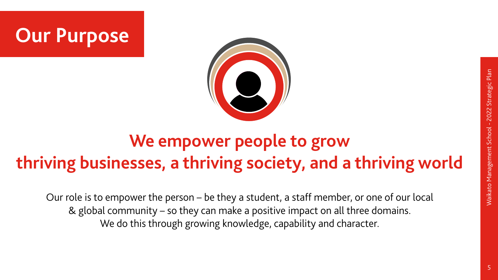

Our role is to empower the person – be they a student, a staff member, or one of our local & global community – so they can make a positive impact on all three domains. We do this through growing knowledge, capability and character.



5

### **We empower people to grow thriving businesses, a thriving society, and a thriving world**

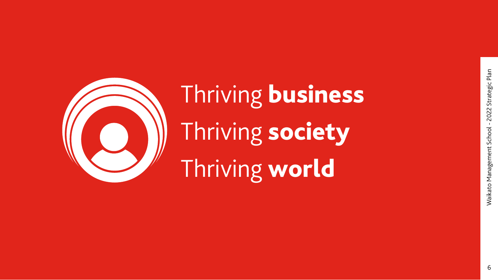Waikato Management School - 2022 Strategic Plan Waikato Management School - 2022 Strategic Plan

6



Thriving business Thriving society Thriving world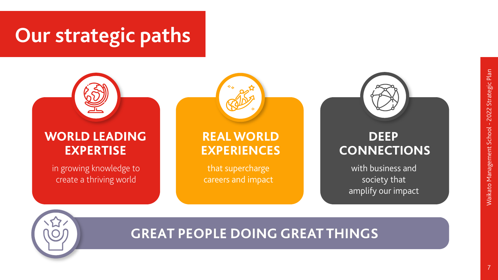



### **REAL WORLD EXPERIENCES**



### **DEEP CONNECTIONS**

in growing knowledge to create a thriving world

that supercharge careers and impact



### **GREAT PEOPLE DOING GREAT THINGS**



with business and society that amplify our impact

## **Our strategic paths**



### **WORLD LEADING EXPERTISE**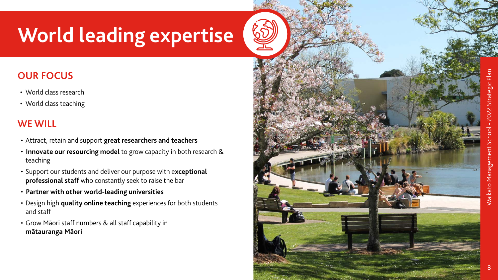

- World class research
- World class teaching



# **World leading expertise**

### **OUR FOCUS**

- Attract, retain and support **great researchers and teachers**
- **Innovate our resourcing model** to grow capacity in both research & teaching
- Support our students and deliver our purpose with e**xceptional professional staff** who constantly seek to raise the bar
- **Partner with other world-leading universities**
- Design high **quality online teaching** experiences for both students and staff
- Grow Māori staff numbers & all staff capability in **mātauranga Māori**

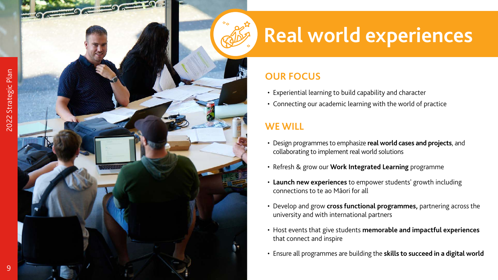



# **Real world experiences**

#### **OUR FOCUS**

- Experiential learning to build capability and character
- Connecting our academic learning with the world of practice

- Design programmes to emphasize **real world cases and projects**, and collaborating to implement real world solutions
- Refresh & grow our **Work Integrated Learning** programme
- **Launch new experiences** to empower students' growth including connections to te ao Māori for all
- Develop and grow **cross functional programmes,** partnering across the university and with international partners
- Host events that give students **memorable and impactful experiences** that connect and inspire
- Ensure all programmes are building the **skills to succeed in a digital world**

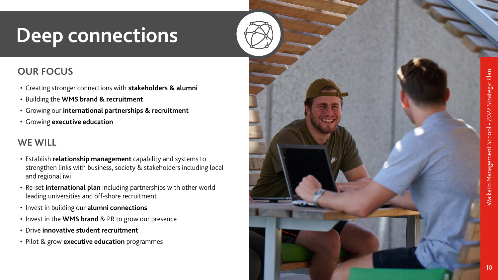



## **Deep connections**

### **OUR FOCUS**

- Creating stronger connections with **stakeholders & alumni**
- Building the **WMS brand & recruitment**
- Growing our **international partnerships & recruitment**
- Growing **executive education**

- Establish **relationship management** capability and systems to strengthen links with business, society & stakeholders including local and regional iwi
- Re-set **international plan** including partnerships with other world leading universities and off-shore recruitment
- Invest in building our **alumni connections**
- Invest in the **WMS brand** & PR to grow our presence
- Drive **innovative student recruitment**
- Pilot & grow **executive education** programmes

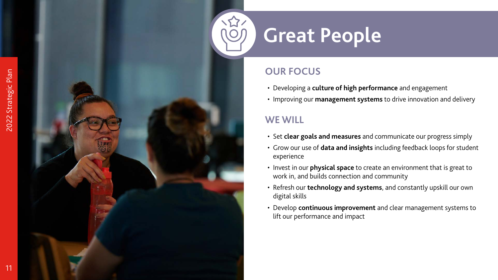11



## **Great People**

### **OUR FOCUS**

- Developing a **culture of high performance** and engagement
- Improving our **management systems** to drive innovation and delivery

- Set **clear goals and measures** and communicate our progress simply
- Grow our use of **data and insights** including feedback loops for student experience
- Invest in our **physical space** to create an environment that is great to work in, and builds connection and community
- Refresh our **technology and systems**, and constantly upskill our own digital skills
- Develop **continuous improvement** and clear management systems to lift our performance and impact